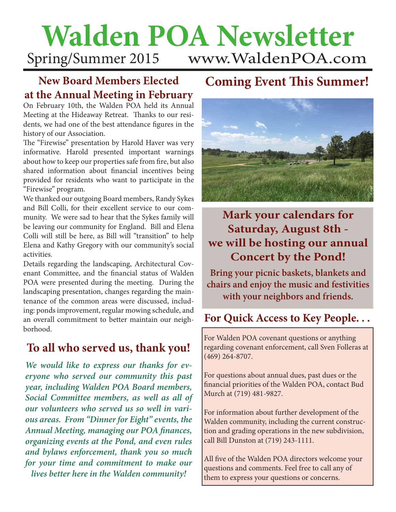## **Walden POA Newsletter** Spring/Summer 2015 www.WaldenPOA.com

### **New Board Members Elected at the Annual Meeting in February**

On February 10th, the Walden POA held its Annual Meeting at the Hideaway Retreat. Thanks to our residents, we had one of the best attendance figures in the history of our Association.

The "Firewise" presentation by Harold Haver was very informative. Harold presented important warnings about how to keep our properties safe from fire, but also shared information about financial incentives being provided for residents who want to participate in the "Firewise" program.

We thanked our outgoing Board members, Randy Sykes and Bill Colli, for their excellent service to our community. We were sad to hear that the Sykes family will be leaving our community for England. Bill and Elena Colli will still be here, as Bill will "transition" to help Elena and Kathy Gregory with our community's social activities.

Details regarding the landscaping, Architectural Covenant Committee, and the financial status of Walden POA were presented during the meeting. During the landscaping presentation, changes regarding the maintenance of the common areas were discussed, including: ponds improvement, regular mowing schedule, and an overall commitment to better maintain our neighborhood.

## **To all who served us, thank you!**

*We would like to express our thanks for everyone who served our community this past year, including Walden POA Board members, Social Committee members, as well as all of our volunteers who served us so well in various areas. From "Dinner for Eight" events, the Annual Meeting, managing our POA finances, organizing events at the Pond, and even rules and bylaws enforcement, thank you so much for your time and commitment to make our lives better here in the Walden community!*

## **Coming Event This Summer!**



**Mark your calendars for Saturday, August 8th we will be hosting our annual Concert by the Pond!**

**Bring your picnic baskets, blankets and chairs and enjoy the music and festivities with your neighbors and friends.**

## **For Quick Access to Key People. . .**

For Walden POA covenant questions or anything regarding covenant enforcement, call Sven Folleras at (469) 264-8707.

For questions about annual dues, past dues or the financial priorities of the Walden POA, contact Bud Murch at (719) 481-9827.

For information about further development of the Walden community, including the current construction and grading operations in the new subdivision, call Bill Dunston at (719) 243-1111.

All five of the Walden POA directors welcome your questions and comments. Feel free to call any of them to express your questions or concerns.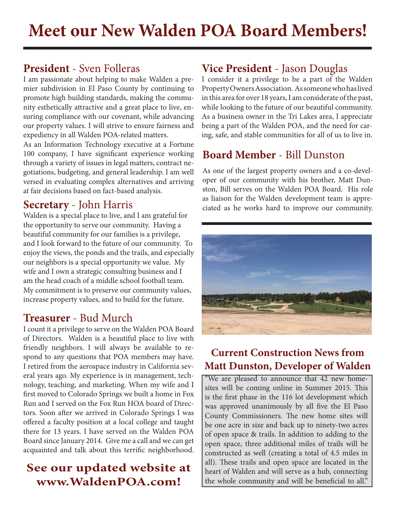I am passionate about helping to make Walden a premier subdivision in El Paso County by continuing to promote high building standards, making the community esthetically attractive and a great place to live, ensuring compliance with our covenant, while advancing our property values. I will strive to ensure fairness and expediency in all Walden POA-related matters.

As an Information Technology executive at a Fortune 100 company, I have significant experience working through a variety of issues in legal matters, contract negotiations, budgeting, and general leadership. I am well versed in evaluating complex alternatives and arriving at fair decisions based on fact-based analysis.

#### **Secretary** - John Harris

Walden is a special place to live, and I am grateful for the opportunity to serve our community. Having a beautiful community for our families is a privilege, and I look forward to the future of our community. To enjoy the views, the ponds and the trails, and especially our neighbors is a special opportunity we value. My wife and I own a strategic consulting business and I am the head coach of a middle school football team. My commitment is to preserve our community values, increase property values, and to build for the future.

#### **Treasurer** - Bud Murch

I count it a privilege to serve on the Walden POA Board of Directors. Walden is a beautiful place to live with friendly neighbors. I will always be available to respond to any questions that POA members may have. I retired from the aerospace industry in California several years ago. My experience is in management, technology, teaching, and marketing. When my wife and I first moved to Colorado Springs we built a home in Fox Run and I served on the Fox Run HOA board of Directors. Soon after we arrived in Colorado Springs I was offered a faculty position at a local college and taught there for 13 years. I have served on the Walden POA Board since January 2014. Give me a call and we can get acquainted and talk about this terrific neighborhood.

### **See our updated website at www.WaldenPOA.com!**

#### **President** - Sven Folleras **Vice President** - Jason Douglas

I consider it a privilege to be a part of the Walden Property Owners Association. As someone who has lived in this area for over 18 years, I am considerate of the past, while looking to the future of our beautiful community. As a business owner in the Tri Lakes area, I appreciate being a part of the Walden POA, and the need for caring, safe, and stable communities for all of us to live in.

#### **Board Member** - Bill Dunston

As one of the largest property owners and a co-developer of our community with his brother, Matt Dunston, Bill serves on the Walden POA Board. His role as liaison for the Walden development team is appreciated as he works hard to improve our community.



#### **Current Construction News from Matt Dunston, Developer of Walden**

"We are pleased to announce that 42 new homesites will be coming online in Summer 2015. This is the first phase in the 116 lot development which was approved unanimously by all five the El Paso County Commissioners. The new home sites will be one acre in size and back up to ninety-two acres of open space & trails. In addition to adding to the open space, three additional miles of trails will be constructed as well (creating a total of 4.5 miles in all). These trails and open space are located in the heart of Walden and will serve as a hub, connecting the whole community and will be beneficial to all."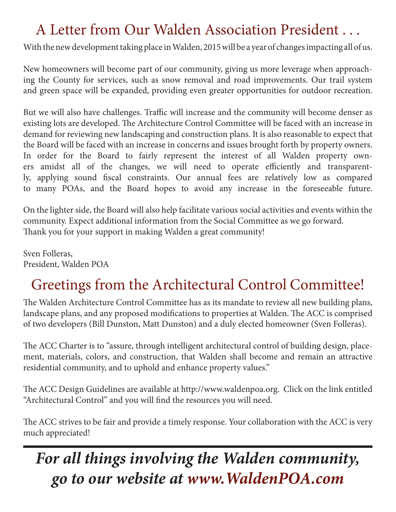# A Letter from Our Walden Association President . . .

With the new development taking place in Walden, 2015 will be a year of changes impacting all of us.

New homeowners will become part of our community, giving us more leverage when approaching the County for services, such as snow removal and road improvements. Our trail system and green space will be expanded, providing even greater opportunities for outdoor recreation.

But we will also have challenges. Traffic will increase and the community will become denser as existing lots are developed. The Architecture Control Committee will be faced with an increase in demand for reviewing new landscaping and construction plans. It is also reasonable to expect that the Board will be faced with an increase in concerns and issues brought forth by property owners. In order for the Board to fairly represent the interest of all Walden property owners amidst all of the changes, we will need to operate efficiently and transparently, applying sound fiscal constraints. Our annual fees are relatively low as compared to many POAs, and the Board hopes to avoid any increase in the foreseeable future.

On the lighter side, the Board will also help facilitate various social activities and events within the community. Expect additional information from the Social Committee as we go forward. Thank you for your support in making Walden a great community!

Sven Folleras, President, Walden POA

# Greetings from the Architectural Control Committee!

The Walden Architecture Control Committee has as its mandate to review all new building plans, landscape plans, and any proposed modifications to properties at Walden. The ACC is comprised of two developers (Bill Dunston, Matt Dunston) and a duly elected homeowner (Sven Folleras).

The ACC Charter is to "assure, through intelligent architectural control of building design, placement, materials, colors, and construction, that Walden shall become and remain an attractive residential community, and to uphold and enhance property values."

The ACC Design Guidelines are available at http://www.waldenpoa.org. Click on the link entitled "Architectural Control" and you will find the resources you will need.

The ACC strives to be fair and provide a timely response. Your collaboration with the ACC is very much appreciated!

# *For all things involving the Walden community, go to our website at www.WaldenPOA.com*